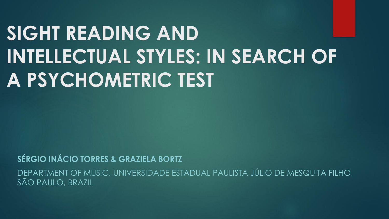## **SIGHT READING AND INTELLECTUAL STYLES: IN SEARCH OF A PSYCHOMETRIC TEST**

**SÉRGIO INÁCIO TORRES & GRAZIELA BORTZ** 

DEPARTMENT OF MUSIC, UNIVERSIDADE ESTADUAL PAULISTA JÚLIO DE MESQUITA FILHO, SÃO PAULO, BRAZIL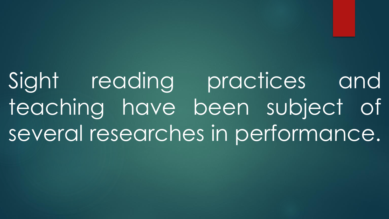Sight reading practices and teaching have been subject of several researches in performance.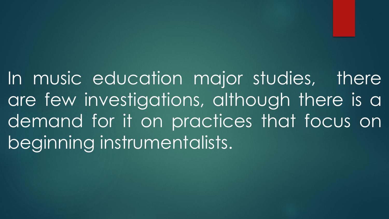In music education major studies, there are few investigations, although there is a demand for it on practices that focus on beginning instrumentalists.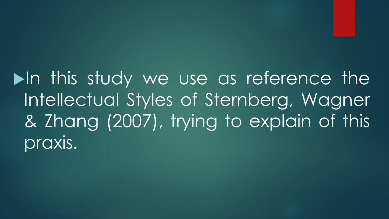$\blacktriangleright$ In this study we use as reference the Intellectual Styles of Sternberg, Wagner & Zhang (2007), trying to explain of this praxis.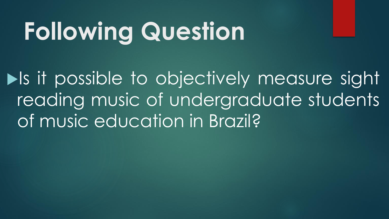## **Following Question**

**In the set of the set of the set of the sight** reading music of undergraduate students of music education in Brazil?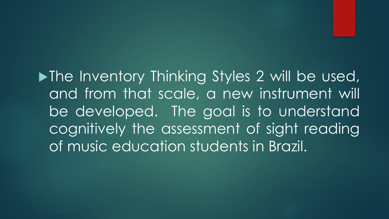**In** The Inventory Thinking Styles 2 will be used, and from that scale, a new instrument will be developed. The goal is to understand cognitively the assessment of sight reading of music education students in Brazil.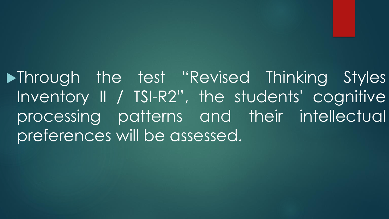**>Through the test "Revised Thinking Styles** Inventory II / TSI-R2", the students' cognitive processing patterns and their intellectual preferences will be assessed.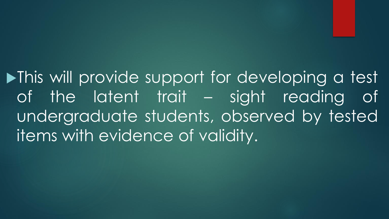**In This will provide support for developing a test** of the latent trait – sight reading of undergraduate students, observed by tested items with evidence of validity.